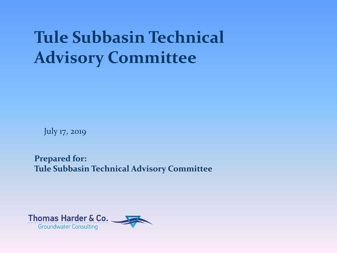## **Tule Subbasin Technical Advisory Committee**

July 17, 2019

**Prepared for: Tule Subbasin Technical Advisory Committee**

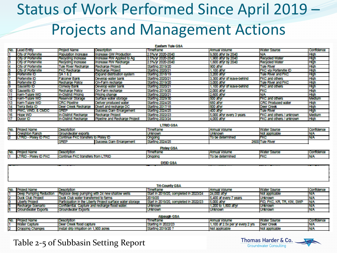## Status of Work Performed Since April 2019 – Projects and Management Actions

| <b>Eastern Tule GSA</b> |                                |                            |                               |                         |                              |                               |             |  |
|-------------------------|--------------------------------|----------------------------|-------------------------------|-------------------------|------------------------------|-------------------------------|-------------|--|
|                         | No. Lead Entity                | <b>Project Name</b>        | <b>Description</b>            | Timeframe               | Annual Volume                | Water Source                  | Confidence  |  |
|                         | <b>City of Porterville</b>     | Population Increase        | Increase GW Production        | 2.5%/w 2020-2040        | 9,500 at/yr by 2040          | <b>N/A</b>                    | High        |  |
|                         | of Porterville                 | Recycling Increase         | Increase RW Applied to Ag     | 2.5%/w 2020-2040        | 1,900 allyr by 2040          | <b>Recycled Water</b>         | <b>High</b> |  |
|                         | <b>City of Porterville</b>     | Recycling Increase         | Increase RW Recharge          | 2.5% Yr 2020-2040       | 1,600 al/yr by 2040          | <b>Recycled Water</b>         | High        |  |
|                         | <b>ICity</b><br>of Porterville | <b>Tule River Recharge</b> | Recharge Project              | Starting 2019/20        | 900 al/w                     | <b>Tule River</b>             | High        |  |
| 5                       | <b>City of Porterville</b>     | <b>FKC Recharge</b>        | Recharge Project              | <b>Starting 2020/21</b> | 1,100 al/w                   | <b>FKC via Porterville ID</b> | High        |  |
| ь                       | Porterville ID                 | SA 182                     | Expand distribution system    | Starting 2018/19        | 3,200 al/vr                  | Tule River and FKC            | <b>High</b> |  |
|                         | Porterville ID                 | <b>Falconer Bank</b>       | Develop water bank            | <b>Starting 2020/21</b> | 3,300 all/vr of leave-behind | <b>FKC and others</b>         | High        |  |
| 8                       | Porterville ID                 | <b>Recharge Policy</b>     | On-Farm recharge              | <b>Starting 2019/20</b> | 3,000 al/wr                  | Tule River and FKC            | High        |  |
| 9                       | Saucelito ID                   | Conway Bank                | Develop water bank            | <b>Starting 2020/21</b> | 1,100 allyr of leave-behind  | IFKC and others               | <b>High</b> |  |
| 10                      | Saucelito ID                   | Recharge Policy            | On-Farm recharge              | <b>Starting 2019/20</b> | 2,000 aI/w                   | <b>FKC</b>                    | High        |  |
|                         | Kem-Tulare WD                  | In-District Pricing        | Pricing change                | <b>Starting 2020/21</b> | 2,600 al/w                   | <b>N/A</b>                    | High        |  |
|                         | Kem-Tulare WD                  | Reservoir Storage          | Surface water storage         | <b>Starting 2029/30</b> | 500 a/w                      | <b>FKC and others</b>         | Medium      |  |
| 13                      | Kem-Tulare WD                  | <b>CRC Ploeline</b>        | Deliver produced water        | <b>Starting 2024/25</b> | 680 a/w                      | <b>CRC Produced water</b>     | High        |  |
| 14                      | Terra Bella ID                 | Deer Creek Recharge        | Divert and recharge DC        | <b>Starting 2017/18</b> | 800 a/M                      | Deer Creek                    | High        |  |
| 15                      | <b>PWC, WWD, &amp; CMDC</b>    | <b>SREP</b>                | Success Dam Enlargement       | <b>Starting 2024/25</b> | 400 a/w                      | Tule River                    | High        |  |
| 16                      | <b>Hope WD</b>                 | In-District Recharge       | Recharge Project              | <b>Starting 2022/23</b> | 5,000 allyr every 3 years    | FKC and others / unknown      | Medium      |  |
|                         | <b>Ducor ID</b>                | In-District Recharge       | Pipeline and Recharge Project | <b>Starting 2023/24</b> | 4,000 allyr                  | FKC and others / unknown      | High        |  |
|                         | <b>I TRID CAA</b>              |                            |                               |                         |                              |                               |             |  |

| ---------- |                              |                                     |                                |                |                      |                     |                           |  |
|------------|------------------------------|-------------------------------------|--------------------------------|----------------|----------------------|---------------------|---------------------------|--|
| No.        | <b>Prolect Name</b>          | <b>Description</b>                  |                                |                | <b>Annual Volume</b> | <b>Water Source</b> | con                       |  |
|            | <b>Creighton Ranch</b>       | Groundwater exports                 |                                | <b>Unknown</b> | <b>Unknown</b>       | Not applicable      | 1, 1, 1, 1<br>TND.        |  |
|            | <b>LTRID - Pixiev ID FKC</b> | Continue FKC transfers to Philey ID |                                | Ongolny        | To be determined     | IFKC                | $\mathbf{H}$<br><b>IN</b> |  |
|            |                              | <b>SREP</b>                         | <b>Success Dam Enlargement</b> | na himame      |                      | 2600 Tule River     |                           |  |

|                | Pixley GSA                 |                                   |                   |                 |                     |      |  |  |
|----------------|----------------------------|-----------------------------------|-------------------|-----------------|---------------------|------|--|--|
|                | No. Project Name           | Descriptio                        | <b>Timetrame</b>  | I Annual Volume | <b>Water Source</b> | 100. |  |  |
| $\overline{1}$ | J - Pixiev ID FKC<br>LTRID | Continue FKC transfers from LTRID | <b>IOP</b><br>юст | . .             | FKC                 | NV/  |  |  |

### **DEID GSA**

| <b>Tri-County GSA</b>    |                                                            |                                        |                        |                           |            |  |  |
|--------------------------|------------------------------------------------------------|----------------------------------------|------------------------|---------------------------|------------|--|--|
| No. Project Name         | <b>IDescription</b>                                        | Timeframe                              | Annual Volume          | <b>Water Source</b>       | Confidence |  |  |
| Deep Pumping Reduction   | Replace deep pumping with 24 new shallow wells             | Start in 2019/20, completed in 2023/24 | 124,000 al/w           | Not applicable            |            |  |  |
| <b>Duck Club Project</b> | Duck Club water transferred to farms                       | 2019/20                                | 5,400 af every 7 years | <b>Unknown</b>            | <b>N/A</b> |  |  |
| <b>Uberty Project</b>    | Participation in the Liberty Project surface water storage | Start in 2019/20, completed in 2022/23 | 5,000 al/w             | FID. FKC. KR. TR. KW. SWP | N/A        |  |  |
| Recharge Scenario        | Confidential, Capture and recharge flood water.            | Unknown                                | 1.200 to 1.800 af/vr   | Unknown                   | <b>NV</b>  |  |  |
| Groundwater Exports      | Groundwater Exports                                        | Unknown                                | Unknown                | Unknown                   | TNW        |  |  |

### **Alpaugh GSA** Timeframe Annual Volume Water Source rolect Name Description Confidence Valer Capture Deer Creek flood capture Starting in 2022/23 1,100 at 2.5x per yr every 2 yrs Deer Creek NΆ oping Changes Install drip Irrigation on 1,900 acres Starting 2019/20 ? Not applicable Not applicable **N/A**

### Table 2-5 of Subbasin Setting Report

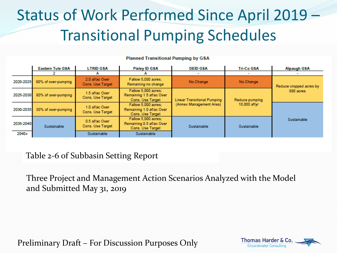## Status of Work Performed Since April 2019 – Transitional Pumping Schedules

|           | <b>Eastern Tule GSA</b> | <b>LTRID GSA</b>                   | <b>Pixley ID GSA</b>                                                | <b>DEID GSA</b>                         | Tri-Co GSA     | <b>Alpaugh GSA</b>      |  |
|-----------|-------------------------|------------------------------------|---------------------------------------------------------------------|-----------------------------------------|----------------|-------------------------|--|
|           |                         |                                    |                                                                     | $\sim$                                  |                |                         |  |
| 2020-2025 | 90% of over-pumping     | 2.0 af/ac Over<br>Cons. Use Target | Fallow 5,000 acres:<br>Remaining no change                          | No Change                               | No Change      | Reduce cropped acres by |  |
| 2025-2030 | 80% of over-pumping     | 1.5 af/ac Over<br>Cons. Use Target | Fallow 5,000 acres:<br>Remaining 1.5 af/ac Over<br>Cons. Use Target | <b>Linear Transitional Pumping</b>      | Reduce pumping | 880 acres               |  |
| 2030-2035 | 30% of over-pumping     | 1.0 af/ac Over<br>Cons. Use Target | Fallow 5,000 acres:<br>Remaining 1.0 af/ac Over<br>Cons. Use Target | (Annex Management Area)<br>10,000 af/yr |                |                         |  |
| 2035-2040 | Sustainable             | 0.5 af/ac Over<br>Cons. Use Target | Fallow 5,000 acres:<br>Remaining 0.5 af/ac Over<br>Cons. Use Target | Sustainable                             | Sustainable    | Sustainable             |  |
| 2040+     |                         | Sustainable                        | <b>Sustainable</b>                                                  |                                         |                |                         |  |

### **Planned Transitional Pumping by GSA**

Table 2-6 of Subbasin Setting Report

Three Project and Management Action Scenarios Analyzed with the Model and Submitted May 31, 2019

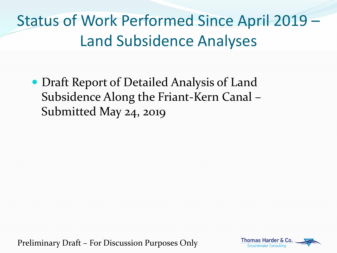Status of Work Performed Since April 2019 – Land Subsidence Analyses

 Draft Report of Detailed Analysis of Land Subsidence Along the Friant-Kern Canal – Submitted May 24, 2019

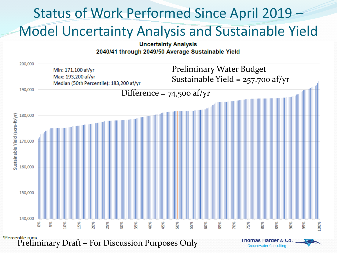### Status of Work Performed Since April 2019 – Model Uncertainty Analysis and Sustainable Yield **Uncertainty Analysis** 2040/41 through 2049/50 Average Sustainable Yield 200,000 Preliminary Water Budget Min: 171,100 af/yr Max: 193,200 af/yr Sustainable Yield =  $257,700$  af/yr Median (50th Percentile): 183,200 af/yr 190,000 Difference =  $74,500$  af/yr Sustainable Yield (acre-ft/yr) 180,000 170,000 160,000 150,000 140,000 35% 55% 95% క్టి 5% 10% L5% 20% 25% 30% 40% 45% 50% 50% 65% 70% 75% 80% 85%  $80%$ 100% \*Percentile runs<br>Preliminary Draft – For Discussion Purposes Only Thomas Harder & Co.

**Groundwater Consulting**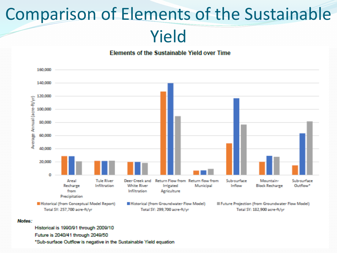# Comparison of Elements of the Sustainable

Yield





### Notes:

Historical is 1990/91 through 2009/10 Future is 2040/41 through 2049/50

<sup>\*</sup>Sub-surface Outflow is negative in the Sustainable Yield equation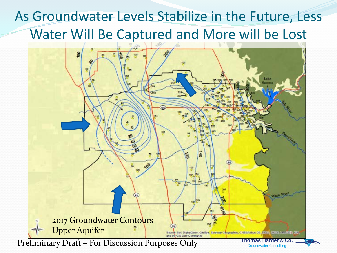## As Groundwater Levels Stabilize in the Future, Less Water Will Be Captured and More will be Lost

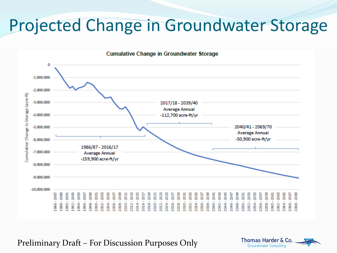## Projected Change in Groundwater Storage

**Cumulative Change in Groundwater Storage** 



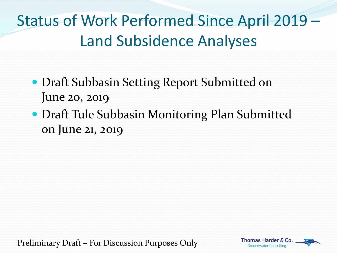Status of Work Performed Since April 2019 – Land Subsidence Analyses

- **Draft Subbasin Setting Report Submitted on** June 20, 2019
- Draft Tule Subbasin Monitoring Plan Submitted on June 21, 2019

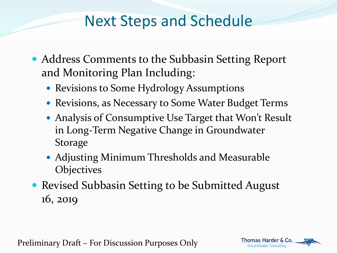## Next Steps and Schedule

- Address Comments to the Subbasin Setting Report and Monitoring Plan Including:
	- Revisions to Some Hydrology Assumptions
	- Revisions, as Necessary to Some Water Budget Terms
	- Analysis of Consumptive Use Target that Won't Result in Long-Term Negative Change in Groundwater Storage
	- Adjusting Minimum Thresholds and Measurable **Objectives**
- Revised Subbasin Setting to be Submitted August 16, 2019

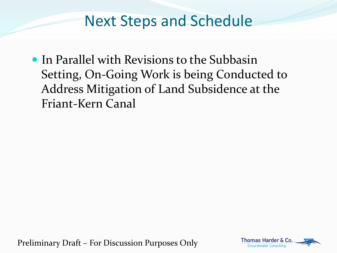## Next Steps and Schedule

• In Parallel with Revisions to the Subbasin Setting, On-Going Work is being Conducted to Address Mitigation of Land Subsidence at the Friant-Kern Canal